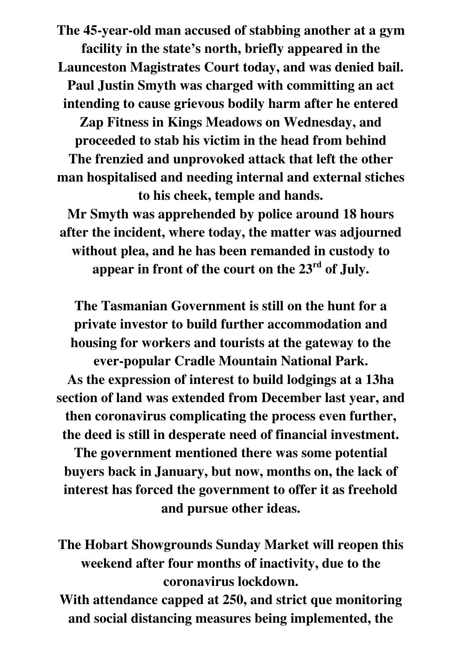**The 45-year-old man accused of stabbing another at a gym facility in the state's north, briefly appeared in the Launceston Magistrates Court today, and was denied bail. Paul Justin Smyth was charged with committing an act intending to cause grievous bodily harm after he entered Zap Fitness in Kings Meadows on Wednesday, and proceeded to stab his victim in the head from behind The frenzied and unprovoked attack that left the other man hospitalised and needing internal and external stiches to his cheek, temple and hands. Mr Smyth was apprehended by police around 18 hours after the incident, where today, the matter was adjourned without plea, and he has been remanded in custody to** 

**appear in front of the court on the 23rd of July.** 

**The Tasmanian Government is still on the hunt for a private investor to build further accommodation and housing for workers and tourists at the gateway to the ever-popular Cradle Mountain National Park. As the expression of interest to build lodgings at a 13ha** 

**section of land was extended from December last year, and then coronavirus complicating the process even further, the deed is still in desperate need of financial investment.** 

**The government mentioned there was some potential buyers back in January, but now, months on, the lack of interest has forced the government to offer it as freehold and pursue other ideas.** 

**The Hobart Showgrounds Sunday Market will reopen this weekend after four months of inactivity, due to the coronavirus lockdown.** 

**With attendance capped at 250, and strict que monitoring and social distancing measures being implemented, the**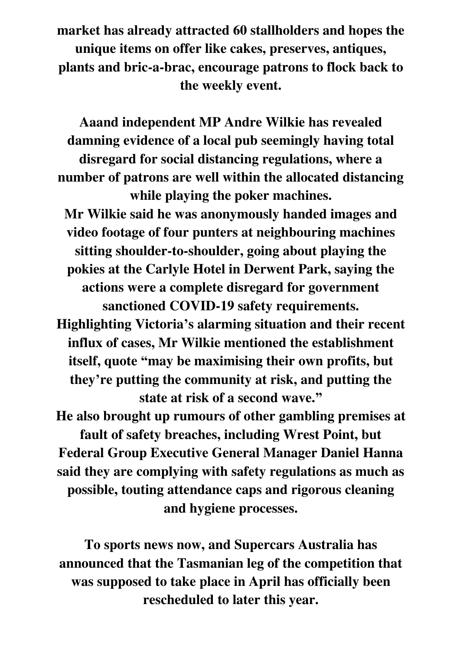**market has already attracted 60 stallholders and hopes the unique items on offer like cakes, preserves, antiques, plants and bric-a-brac, encourage patrons to flock back to the weekly event.** 

**Aaand independent MP Andre Wilkie has revealed damning evidence of a local pub seemingly having total disregard for social distancing regulations, where a number of patrons are well within the allocated distancing while playing the poker machines. Mr Wilkie said he was anonymously handed images and video footage of four punters at neighbouring machines sitting shoulder-to-shoulder, going about playing the pokies at the Carlyle Hotel in Derwent Park, saying the actions were a complete disregard for government sanctioned COVID-19 safety requirements. Highlighting Victoria's alarming situation and their recent influx of cases, Mr Wilkie mentioned the establishment itself, quote "may be maximising their own profits, but they're putting the community at risk, and putting the state at risk of a second wave." He also brought up rumours of other gambling premises at fault of safety breaches, including Wrest Point, but** 

**Federal Group Executive General Manager Daniel Hanna said they are complying with safety regulations as much as possible, touting attendance caps and rigorous cleaning and hygiene processes.** 

**To sports news now, and Supercars Australia has announced that the Tasmanian leg of the competition that was supposed to take place in April has officially been rescheduled to later this year.**